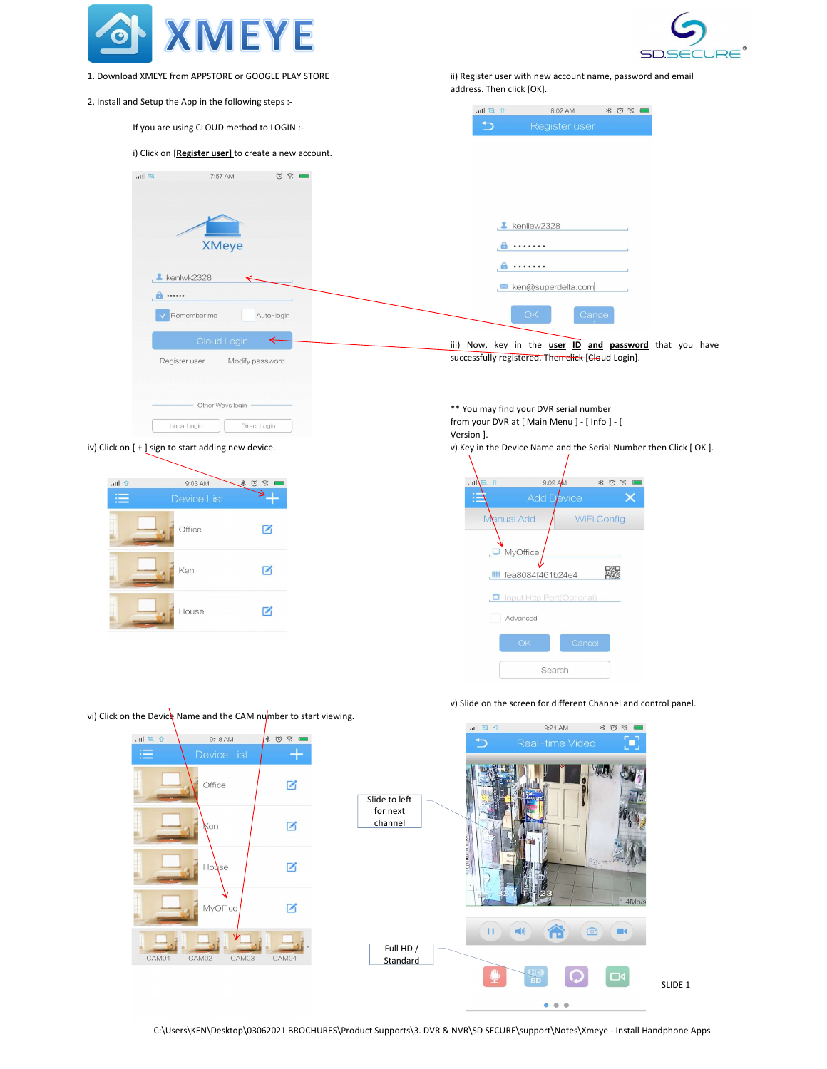



- 1. Download XMEYE from APPSTORE or GOOGLE PLAY STORE
- 2. Install and Setup the App in the following steps :-

ii) Register user with new account name, password and email address. Then click [OK].



v) Slide on the screen for different Channel and control panel.



C:\Users\KEN\Desktop\03062021 BROCHURES\Product Supports\3. DVR & NVR\SD SECURE\support\Notes\Xmeye - Install Handphone Apps